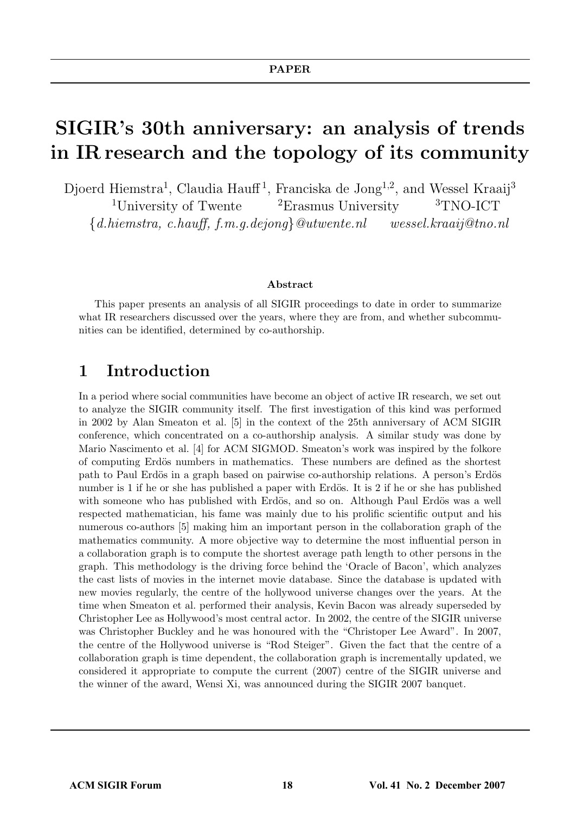# SIGIR's 30th anniversary: an analysis of trends in IR research and the topology of its community

Djoerd Hiemstra<sup>1</sup>, Claudia Hauff<sup>1</sup>, Franciska de Jong<sup>1,2</sup>, and Wessel Kraaij<sup>3</sup> <sup>1</sup>University of Twente  ${}^{2}$ Erasmus University  ${}^{3}$ TNO-ICT  $\{d.hiemstra, c.hauff, f.m.q.dejong\} @utwente.nl$  wessel.kraaij@tno.nl

#### Abstract

This paper presents an analysis of all SIGIR proceedings to date in order to summarize what IR researchers discussed over the years, where they are from, and whether subcommunities can be identified, determined by co-authorship.

#### 1 Introduction

In a period where social communities have become an object of active IR research, we set out to analyze the SIGIR community itself. The first investigation of this kind was performed in 2002 by Alan Smeaton et al. [5] in the context of the 25th anniversary of ACM SIGIR conference, which concentrated on a co-authorship analysis. A similar study was done by Mario Nascimento et al. [4] for ACM SIGMOD. Smeaton's work was inspired by the folkore of computing Erdös numbers in mathematics. These numbers are defined as the shortest path to Paul Erdös in a graph based on pairwise co-authorship relations. A person's Erdös number is 1 if he or she has published a paper with Erdös. It is 2 if he or she has published with someone who has published with Erdös, and so on. Although Paul Erdös was a well respected mathematician, his fame was mainly due to his prolific scientific output and his numerous co-authors [5] making him an important person in the collaboration graph of the mathematics community. A more objective way to determine the most influential person in a collaboration graph is to compute the shortest average path length to other persons in the graph. This methodology is the driving force behind the 'Oracle of Bacon', which analyzes the cast lists of movies in the internet movie database. Since the database is updated with new movies regularly, the centre of the hollywood universe changes over the years. At the time when Smeaton et al. performed their analysis, Kevin Bacon was already superseded by Christopher Lee as Hollywood's most central actor. In 2002, the centre of the SIGIR universe was Christopher Buckley and he was honoured with the "Christoper Lee Award". In 2007, the centre of the Hollywood universe is "Rod Steiger". Given the fact that the centre of a collaboration graph is time dependent, the collaboration graph is incrementally updated, we considered it appropriate to compute the current  $(2007)$  centre of the SIGIR universe and the winner of the award, Wensi Xi, was announced during the SIGIR 2007 banquet.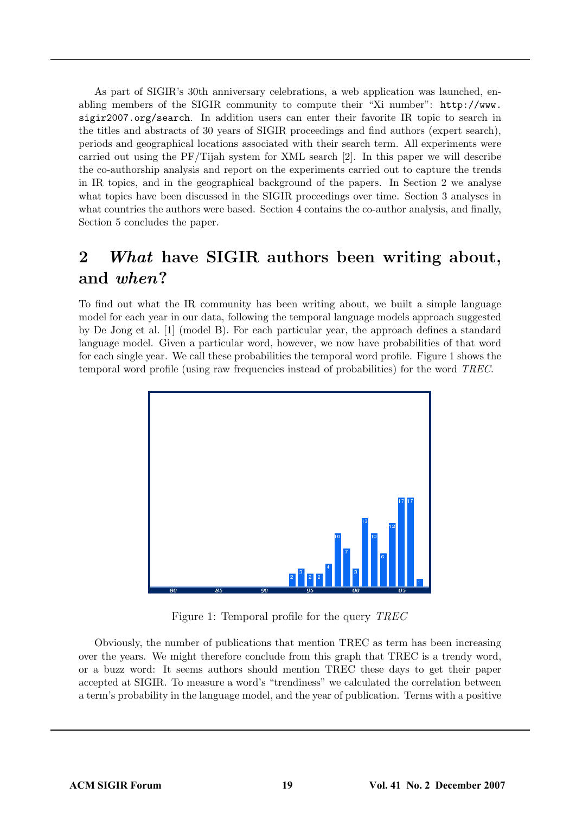As part of SIGIR's 30th anniversary celebrations, a web application was launched, enabling members of the SIGIR community to compute their "Xi number": http://www. sigir2007.org/search. In addition users can enter their favorite IR topic to search in the titles and abstracts of  $30$  years of  $SIGIR$  proceedings and find authors (expert search), periods and geographical locations associated with their search term. All experiments were carried out using the PF/Tijah system for XML search [2]. In this paper we will describe the co-authorship analysis and report on the experiments carried out to capture the trends in IR topics, and in the geographical background of the papers. In Section 2 we analyse what topics have been discussed in the SIGIR proceedings over time. Section 3 analyses in what countries the authors were based. Section 4 contains the co-author analysis, and finally, Section 5 concludes the paper.

# 2 What have SIGIR authors been writing about, and when?

To find out what the IR community has been writing about, we built a simple language model for each year in our data, following the temporal language models approach suggested by De Jong et al.  $[1]$  (model B). For each particular year, the approach defines a standard language model. Given a particular word, however, we now have probabilities of that word for each single year. We call these probabilities the temporal word profile. Figure 1 shows the temporal word profile (using raw frequencies instead of probabilities) for the word TREC.



Figure 1: Temporal profile for the query TREC

Obviously, the number of publications that mention TREC as term has been increasing over the years. We might therefore conclude from this graph that TREC is a trendy word, or a buzz word: It seems authors should mention TREC these days to get their paper accepted at SIGIR. To measure a word's "trendiness" we calculated the correlation between a term's probability in the language model, and the year of publication. Terms with a positive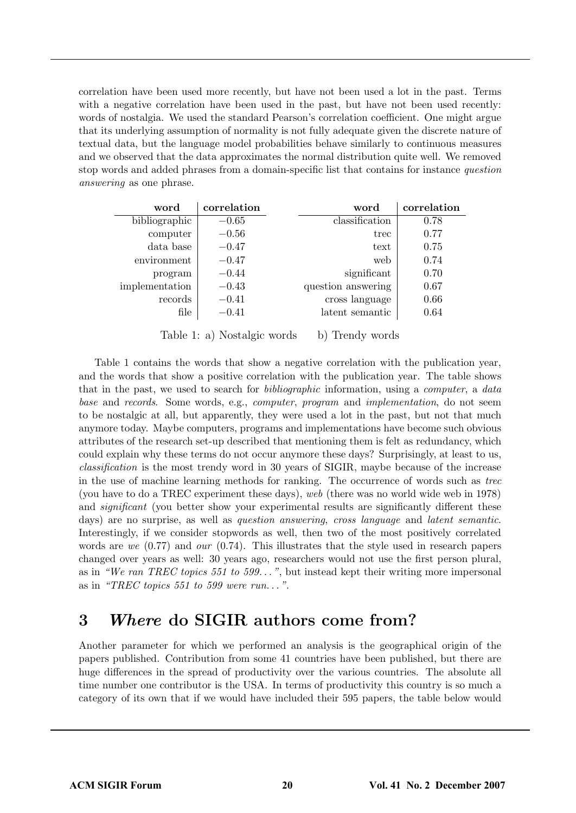correlation have been used more recently, but have not been used a lot in the past. Terms with a negative correlation have been used in the past, but have not been used recently: words of nostalgia. We used the standard Pearson's correlation coefficient. One might argue that its underlying assumption of normality is not fully adequate given the discrete nature of textual data, but the language model probabilities behave similarly to continuous measures and we observed that the data approximates the normal distribution quite well. We removed stop words and added phrases from a domain-specific list that contains for instance question answering as one phrase.

| word           | correlation | word               | correlation |
|----------------|-------------|--------------------|-------------|
| bibliographic  | $-0.65$     | classification     | 0.78        |
| computer       | $-0.56$     | trec               | 0.77        |
| data base      | $-0.47$     | text               | 0.75        |
| environment    | $-0.47$     | web                | 0.74        |
| program        | $-0.44$     | significant        | 0.70        |
| implementation | $-0.43$     | question answering | 0.67        |
| records        | $-0.41$     | cross language     | 0.66        |
| file           | $-0.41$     | latent semantic    | 0.64        |

Table 1: a) Nostalgic words b) Trendy words

Table 1 contains the words that show a negative correlation with the publication year, and the words that show a positive correlation with the publication year. The table shows that in the past, we used to search for bibliographic information, using a computer, a data base and records. Some words, e.g., computer, program and implementation, do not seem to be nostalgic at all, but apparently, they were used a lot in the past, but not that much anymore today. Maybe computers, programs and implementations have become such obvious attributes of the research set-up described that mentioning them is felt as redundancy, which could explain why these terms do not occur anymore these days? Surprisingly, at least to us, classification is the most trendy word in 30 years of SIGIR, maybe because of the increase in the use of machine learning methods for ranking. The occurrence of words such as trec (you have to do a TREC experiment these days), web (there was no world wide web in  $1978$ ) and *significant* (you better show your experimental results are significantly different these days) are no surprise, as well as *question answering*, *cross language* and *latent semantic*. Interestingly, if we consider stopwords as well, then two of the most positively correlated words are we  $(0.77)$  and our  $(0.74)$ . This illustrates that the style used in research papers changed over years as well: 30 years ago, researchers would not use the first person plural, as in "We ran TREC topics 551 to 599...", but instead kept their writing more impersonal as in "TREC topics 551 to 599 were run...".

### 3 Where do SIGIR authors come from?

Another parameter for which we performed an analysis is the geographical origin of the papers published. Contribution from some 41 countries have been published, but there are huge differences in the spread of productivity over the various countries. The absolute all time number one contributor is the USA. In terms of productivity this country is so much a category of its own that if we would have included their 595 papers, the table below would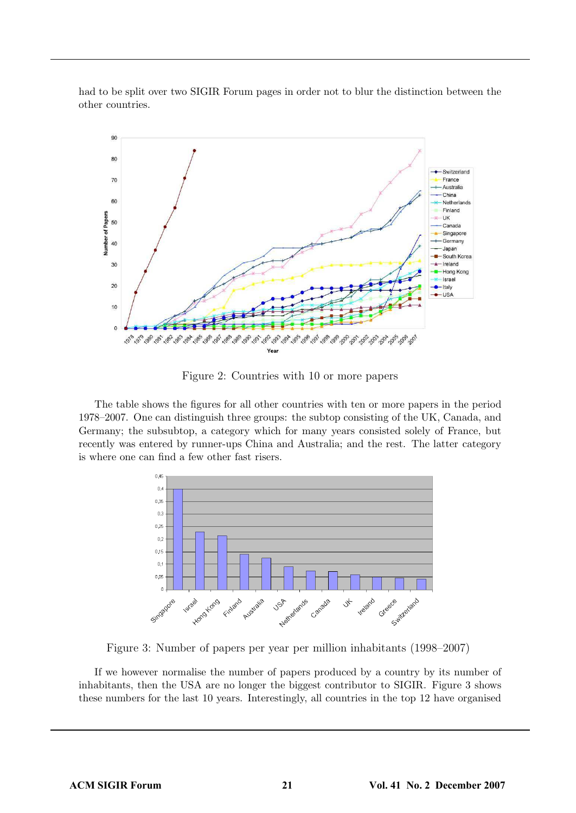had to be split over two SIGIR Forum pages in order not to blur the distinction between the other countries.



Figure 2: Countries with 10 or more papers

The table shows the figures for all other countries with ten or more papers in the period 1978–2007. One can distinguish three groups: the subtop consisting of the UK, Canada, and Germany; the subsubtop, a category which for many years consisted solely of France, but recently was entered by runner-ups China and Australia; and the rest. The latter category is where one can find a few other fast risers.



Figure 3: Number of papers per year per million inhabitants (1998–2007)

If we however normalise the number of papers produced by a country by its number of inhabitants, then the USA are no longer the biggest contributor to SIGIR. Figure 3 shows these numbers for the last 10 years. Interestingly, all countries in the top 12 have organised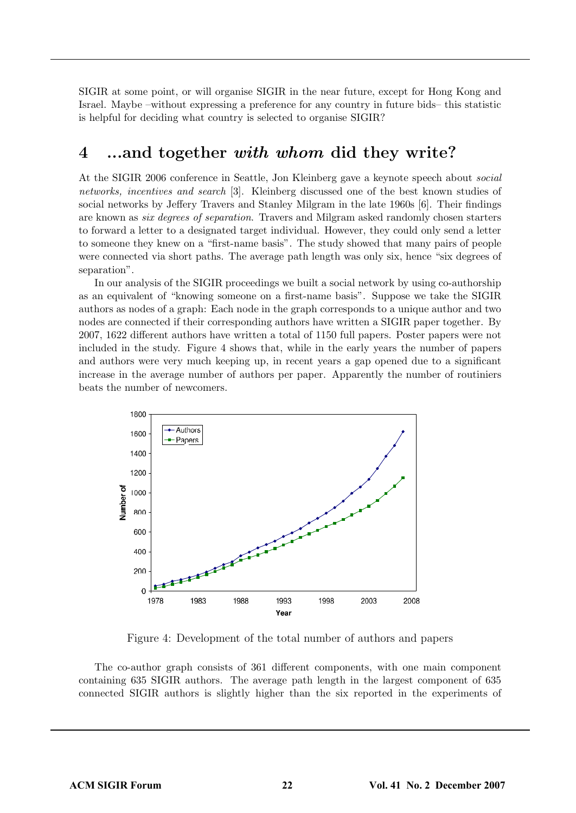SIGIR at some point, or will organise SIGIR in the near future, except for Hong Kong and Israel. Maybe –without expressing a preference for any country in future bids– this statistic is helpful for deciding what country is selected to organise SIGIR?

#### 4 ...and together with whom did they write?

At the SIGIR 2006 conference in Seattle, Jon Kleinberg gave a keynote speech about social networks, incentives and search [3]. Kleinberg discussed one of the best known studies of social networks by Jeffery Travers and Stanley Milgram in the late 1960s [6]. Their findings are known as six degrees of separation. Travers and Milgram asked randomly chosen starters to forward a letter to a designated target individual. However, they could only send a letter to someone they knew on a "first-name basis". The study showed that many pairs of people were connected via short paths. The average path length was only six, hence "six degrees of separation".

In our analysis of the SIGIR proceedings we built a social network by using co-authorship as an equivalent of "knowing someone on a first-name basis". Suppose we take the SIGIR authors as nodes of a graph: Each node in the graph corresponds to a unique author and two nodes are connected if their corresponding authors have written a SIGIR paper together. By 2007, 1622 different authors have written a total of 1150 full papers. Poster papers were not included in the study. Figure 4 shows that, while in the early years the number of papers and authors were very much keeping up, in recent years a gap opened due to a significant increase in the average number of authors per paper. Apparently the number of routiniers beats the number of newcomers.



Figure 4: Development of the total number of authors and papers

The co-author graph consists of 361 different components, with one main component containing 635 SIGIR authors. The average path length in the largest component of 635 connected SIGIR authors is slightly higher than the six reported in the experiments of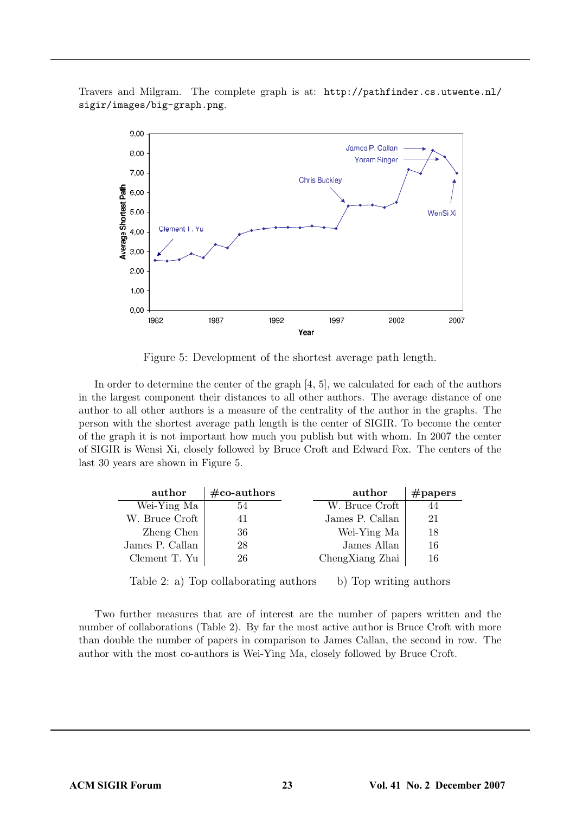

Travers and Milgram. The complete graph is at: http://pathfinder.cs.utwente.nl/ sigir/images/big-graph.png.

Figure 5: Development of the shortest average path length.

In order to determine the center of the graph [4, 5], we calculated for each of the authors in the largest component their distances to all other authors. The average distance of one author to all other authors is a measure of the centrality of the author in the graphs. The person with the shortest average path length is the center of SIGIR. To become the center of the graph it is not important how much you publish but with whom. In 2007 the center of SIGIR is Wensi Xi, closely followed by Bruce Croft and Edward Fox. The centers of the last 30 years are shown in Figure 5.

| author          | $\#\text{co-authors}$ | author          | $\#\text{papers}$ |
|-----------------|-----------------------|-----------------|-------------------|
| Wei-Ying Ma     | 54                    | W. Bruce Croft  |                   |
| W. Bruce Croft  |                       | James P. Callan | 21                |
| Zheng Chen      | 36                    | Wei-Ying Ma     | 18                |
| James P. Callan | 28                    | James Allan     | 16                |
| Clement T. Yu   | 26                    | ChengXiang Zhai | 16                |

Table 2: a) Top collaborating authors b) Top writing authors

Two further measures that are of interest are the number of papers written and the number of collaborations (Table 2). By far the most active author is Bruce Croft with more than double the number of papers in comparison to James Callan, the second in row. The author with the most co-authors is Wei-Ying Ma, closely followed by Bruce Croft.